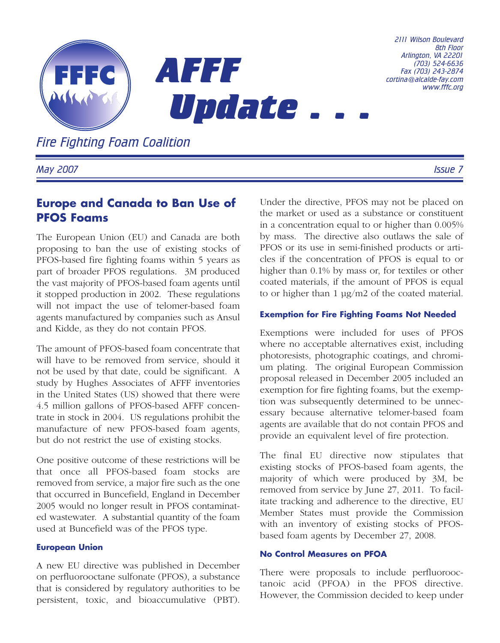

*Fire Fighting Foam Coalition*

*May 2007 Issue 7*

# **Europe and Canada to Ban Use of PFOS Foams**

The European Union (EU) and Canada are both proposing to ban the use of existing stocks of PFOS-based fire fighting foams within 5 years as part of broader PFOS regulations. 3M produced the vast majority of PFOS-based foam agents until it stopped production in 2002. These regulations will not impact the use of telomer-based foam agents manufactured by companies such as Ansul and Kidde, as they do not contain PFOS.

The amount of PFOS-based foam concentrate that will have to be removed from service, should it not be used by that date, could be significant. A study by Hughes Associates of AFFF inventories in the United States (US) showed that there were 4.5 million gallons of PFOS-based AFFF concentrate in stock in 2004. US regulations prohibit the manufacture of new PFOS-based foam agents, but do not restrict the use of existing stocks.

One positive outcome of these restrictions will be that once all PFOS-based foam stocks are removed from service, a major fire such as the one that occurred in Buncefield, England in December 2005 would no longer result in PFOS contaminated wastewater. A substantial quantity of the foam used at Buncefield was of the PFOS type.

### **European Union**

A new EU directive was published in December on perfluorooctane sulfonate (PFOS), a substance that is considered by regulatory authorities to be persistent, toxic, and bioaccumulative (PBT).

Under the directive, PFOS may not be placed on the market or used as a substance or constituent in a concentration equal to or higher than 0.005% by mass. The directive also outlaws the sale of PFOS or its use in semi-finished products or articles if the concentration of PFOS is equal to or higher than 0.1% by mass or, for textiles or other coated materials, if the amount of PFOS is equal to or higher than  $1 \mu g/m2$  of the coated material.

## **Exemption for Fire Fighting Foams Not Needed**

Exemptions were included for uses of PFOS where no acceptable alternatives exist, including photoresists, photographic coatings, and chromium plating. The original European Commission proposal released in December 2005 included an exemption for fire fighting foams, but the exemption was subsequently determined to be unnecessary because alternative telomer-based foam agents are available that do not contain PFOS and provide an equivalent level of fire protection.

The final EU directive now stipulates that existing stocks of PFOS-based foam agents, the majority of which were produced by 3M, be removed from service by June 27, 2011. To facilitate tracking and adherence to the directive, EU Member States must provide the Commission with an inventory of existing stocks of PFOSbased foam agents by December 27, 2008.

### **No Control Measures on PFOA**

There were proposals to include perfluorooctanoic acid (PFOA) in the PFOS directive. However, the Commission decided to keep under